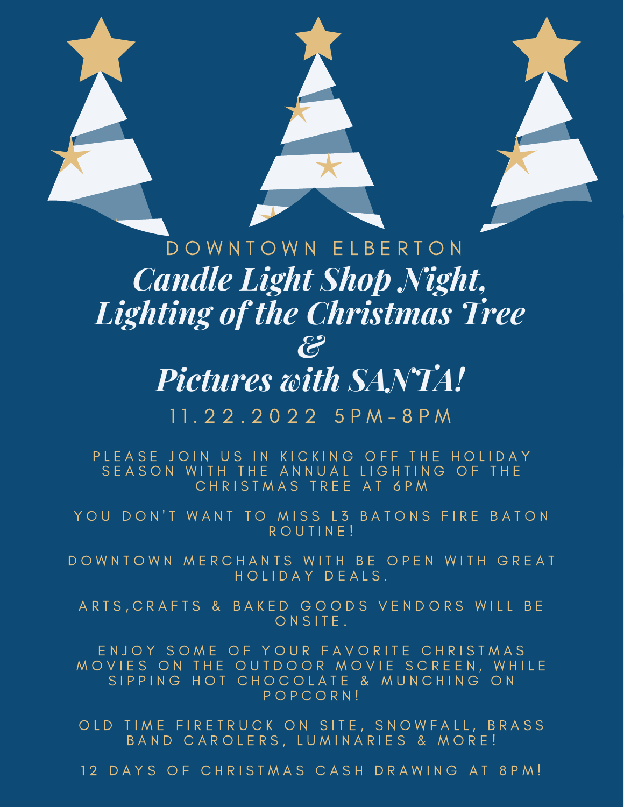

# *Candle Light Shop Night, Lighting of the Christmas Tree &*

## *Pictures with SANTA!*

#### 1 1 . 2 2 . 2 0 2 2 5 P M - 8 P M

PLEASE JOIN US IN KICKING OFF THE HOLIDAY SEASON WITH THE ANNUAL LIGHTING OF THE CHRISTMAS TREE AT 6PM

YOU DON'T WANT TO MISS L3 BATONS FIRE BATON R O U T I N E!

DOWNTOWN MERCHANTS WITH BE OPEN WITH GREAT HOLIDAY DEALS.

ARTS, CRAFTS & BAKED GOODS VENDORS WILL BE ONSITE.

ENJOY SOME OF YOUR FAVORITE CHRISTMAS MOVIES ON THE OUTDOOR MOVIE SCREEN, WHILE SIPPING HOT CHOCOLATE & MUNCHING ON P O P C O R N !

OLD TIME FIRETRUCK ON SITE, SNOWFALL, BRASS BAND CAROLERS, LUMINARIES & MORE!

12 DAYS OF CHRISTMAS CASH DRAWING AT 8PM!